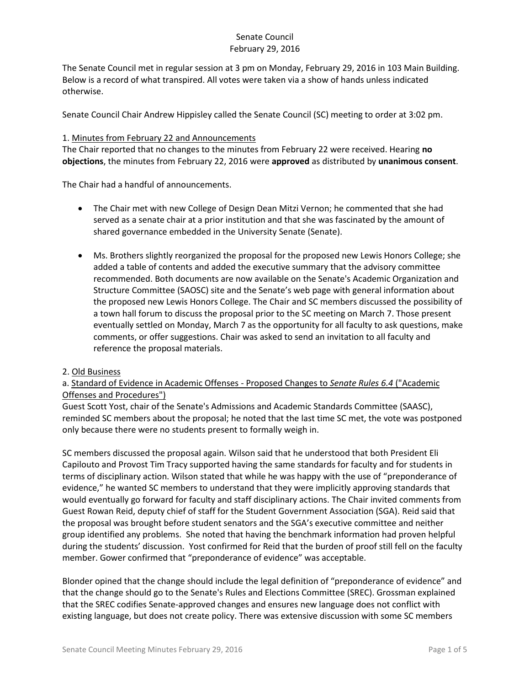The Senate Council met in regular session at 3 pm on Monday, February 29, 2016 in 103 Main Building. Below is a record of what transpired. All votes were taken via a show of hands unless indicated otherwise.

Senate Council Chair Andrew Hippisley called the Senate Council (SC) meeting to order at 3:02 pm.

#### 1. Minutes from February 22 and Announcements

The Chair reported that no changes to the minutes from February 22 were received. Hearing **no objections**, the minutes from February 22, 2016 were **approved** as distributed by **unanimous consent**.

The Chair had a handful of announcements.

- The Chair met with new College of Design Dean Mitzi Vernon; he commented that she had served as a senate chair at a prior institution and that she was fascinated by the amount of shared governance embedded in the University Senate (Senate).
- Ms. Brothers slightly reorganized the proposal for the proposed new Lewis Honors College; she added a table of contents and added the executive summary that the advisory committee recommended. Both documents are now available on the Senate's Academic Organization and Structure Committee (SAOSC) site and the Senate's web page with general information about the proposed new Lewis Honors College. The Chair and SC members discussed the possibility of a town hall forum to discuss the proposal prior to the SC meeting on March 7. Those present eventually settled on Monday, March 7 as the opportunity for all faculty to ask questions, make comments, or offer suggestions. Chair was asked to send an invitation to all faculty and reference the proposal materials.

#### 2. Old Business

## a. Standard of Evidence in Academic Offenses - Proposed Changes to *Senate Rules 6.4* ("Academic Offenses and Procedures")

Guest Scott Yost, chair of the Senate's Admissions and Academic Standards Committee (SAASC), reminded SC members about the proposal; he noted that the last time SC met, the vote was postponed only because there were no students present to formally weigh in.

SC members discussed the proposal again. Wilson said that he understood that both President Eli Capilouto and Provost Tim Tracy supported having the same standards for faculty and for students in terms of disciplinary action. Wilson stated that while he was happy with the use of "preponderance of evidence," he wanted SC members to understand that they were implicitly approving standards that would eventually go forward for faculty and staff disciplinary actions. The Chair invited comments from Guest Rowan Reid, deputy chief of staff for the Student Government Association (SGA). Reid said that the proposal was brought before student senators and the SGA's executive committee and neither group identified any problems. She noted that having the benchmark information had proven helpful during the students' discussion. Yost confirmed for Reid that the burden of proof still fell on the faculty member. Gower confirmed that "preponderance of evidence" was acceptable.

Blonder opined that the change should include the legal definition of "preponderance of evidence" and that the change should go to the Senate's Rules and Elections Committee (SREC). Grossman explained that the SREC codifies Senate-approved changes and ensures new language does not conflict with existing language, but does not create policy. There was extensive discussion with some SC members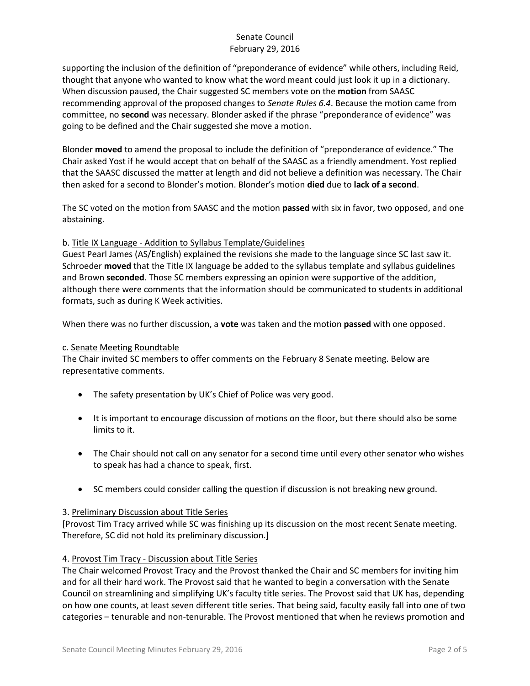supporting the inclusion of the definition of "preponderance of evidence" while others, including Reid, thought that anyone who wanted to know what the word meant could just look it up in a dictionary. When discussion paused, the Chair suggested SC members vote on the **motion** from SAASC recommending approval of the proposed changes to *Senate Rules 6.4*. Because the motion came from committee, no **second** was necessary. Blonder asked if the phrase "preponderance of evidence" was going to be defined and the Chair suggested she move a motion.

Blonder **moved** to amend the proposal to include the definition of "preponderance of evidence." The Chair asked Yost if he would accept that on behalf of the SAASC as a friendly amendment. Yost replied that the SAASC discussed the matter at length and did not believe a definition was necessary. The Chair then asked for a second to Blonder's motion. Blonder's motion **died** due to **lack of a second**.

The SC voted on the motion from SAASC and the motion **passed** with six in favor, two opposed, and one abstaining.

## b. Title IX Language - Addition to Syllabus Template/Guidelines

Guest Pearl James (AS/English) explained the revisions she made to the language since SC last saw it. Schroeder **moved** that the Title IX language be added to the syllabus template and syllabus guidelines and Brown **seconded**. Those SC members expressing an opinion were supportive of the addition, although there were comments that the information should be communicated to students in additional formats, such as during K Week activities.

When there was no further discussion, a **vote** was taken and the motion **passed** with one opposed.

#### c. Senate Meeting Roundtable

The Chair invited SC members to offer comments on the February 8 Senate meeting. Below are representative comments.

- The safety presentation by UK's Chief of Police was very good.
- It is important to encourage discussion of motions on the floor, but there should also be some limits to it.
- The Chair should not call on any senator for a second time until every other senator who wishes to speak has had a chance to speak, first.
- SC members could consider calling the question if discussion is not breaking new ground.

#### 3. Preliminary Discussion about Title Series

[Provost Tim Tracy arrived while SC was finishing up its discussion on the most recent Senate meeting. Therefore, SC did not hold its preliminary discussion.]

#### 4. Provost Tim Tracy - Discussion about Title Series

The Chair welcomed Provost Tracy and the Provost thanked the Chair and SC members for inviting him and for all their hard work. The Provost said that he wanted to begin a conversation with the Senate Council on streamlining and simplifying UK's faculty title series. The Provost said that UK has, depending on how one counts, at least seven different title series. That being said, faculty easily fall into one of two categories – tenurable and non-tenurable. The Provost mentioned that when he reviews promotion and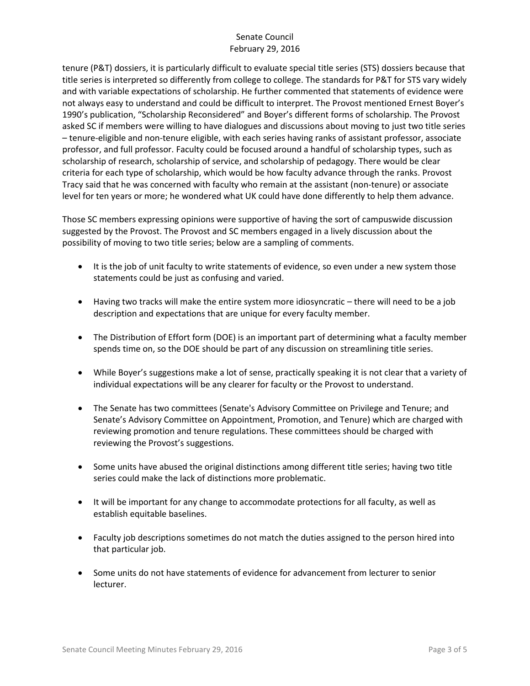tenure (P&T) dossiers, it is particularly difficult to evaluate special title series (STS) dossiers because that title series is interpreted so differently from college to college. The standards for P&T for STS vary widely and with variable expectations of scholarship. He further commented that statements of evidence were not always easy to understand and could be difficult to interpret. The Provost mentioned Ernest Boyer's 1990's publication, "Scholarship Reconsidered" and Boyer's different forms of scholarship. The Provost asked SC if members were willing to have dialogues and discussions about moving to just two title series – tenure-eligible and non-tenure eligible, with each series having ranks of assistant professor, associate professor, and full professor. Faculty could be focused around a handful of scholarship types, such as scholarship of research, scholarship of service, and scholarship of pedagogy. There would be clear criteria for each type of scholarship, which would be how faculty advance through the ranks. Provost Tracy said that he was concerned with faculty who remain at the assistant (non-tenure) or associate level for ten years or more; he wondered what UK could have done differently to help them advance.

Those SC members expressing opinions were supportive of having the sort of campuswide discussion suggested by the Provost. The Provost and SC members engaged in a lively discussion about the possibility of moving to two title series; below are a sampling of comments.

- It is the job of unit faculty to write statements of evidence, so even under a new system those statements could be just as confusing and varied.
- $\bullet$  Having two tracks will make the entire system more idiosyncratic there will need to be a job description and expectations that are unique for every faculty member.
- The Distribution of Effort form (DOE) is an important part of determining what a faculty member spends time on, so the DOE should be part of any discussion on streamlining title series.
- While Boyer's suggestions make a lot of sense, practically speaking it is not clear that a variety of individual expectations will be any clearer for faculty or the Provost to understand.
- The Senate has two committees (Senate's Advisory Committee on Privilege and Tenure; and Senate's Advisory Committee on Appointment, Promotion, and Tenure) which are charged with reviewing promotion and tenure regulations. These committees should be charged with reviewing the Provost's suggestions.
- Some units have abused the original distinctions among different title series; having two title series could make the lack of distinctions more problematic.
- It will be important for any change to accommodate protections for all faculty, as well as establish equitable baselines.
- Faculty job descriptions sometimes do not match the duties assigned to the person hired into that particular job.
- Some units do not have statements of evidence for advancement from lecturer to senior lecturer.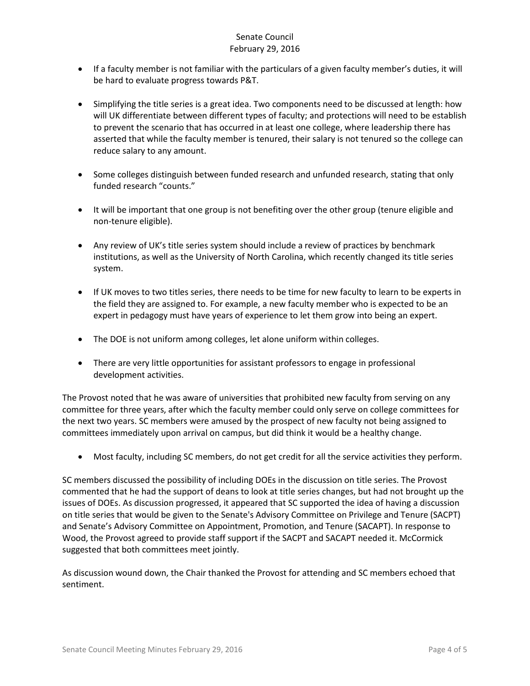- If a faculty member is not familiar with the particulars of a given faculty member's duties, it will be hard to evaluate progress towards P&T.
- Simplifying the title series is a great idea. Two components need to be discussed at length: how will UK differentiate between different types of faculty; and protections will need to be establish to prevent the scenario that has occurred in at least one college, where leadership there has asserted that while the faculty member is tenured, their salary is not tenured so the college can reduce salary to any amount.
- Some colleges distinguish between funded research and unfunded research, stating that only funded research "counts."
- It will be important that one group is not benefiting over the other group (tenure eligible and non-tenure eligible).
- Any review of UK's title series system should include a review of practices by benchmark institutions, as well as the University of North Carolina, which recently changed its title series system.
- If UK moves to two titles series, there needs to be time for new faculty to learn to be experts in the field they are assigned to. For example, a new faculty member who is expected to be an expert in pedagogy must have years of experience to let them grow into being an expert.
- The DOE is not uniform among colleges, let alone uniform within colleges.
- There are very little opportunities for assistant professors to engage in professional development activities.

The Provost noted that he was aware of universities that prohibited new faculty from serving on any committee for three years, after which the faculty member could only serve on college committees for the next two years. SC members were amused by the prospect of new faculty not being assigned to committees immediately upon arrival on campus, but did think it would be a healthy change.

Most faculty, including SC members, do not get credit for all the service activities they perform.

SC members discussed the possibility of including DOEs in the discussion on title series. The Provost commented that he had the support of deans to look at title series changes, but had not brought up the issues of DOEs. As discussion progressed, it appeared that SC supported the idea of having a discussion on title series that would be given to the Senate's Advisory Committee on Privilege and Tenure (SACPT) and Senate's Advisory Committee on Appointment, Promotion, and Tenure (SACAPT). In response to Wood, the Provost agreed to provide staff support if the SACPT and SACAPT needed it. McCormick suggested that both committees meet jointly.

As discussion wound down, the Chair thanked the Provost for attending and SC members echoed that sentiment.